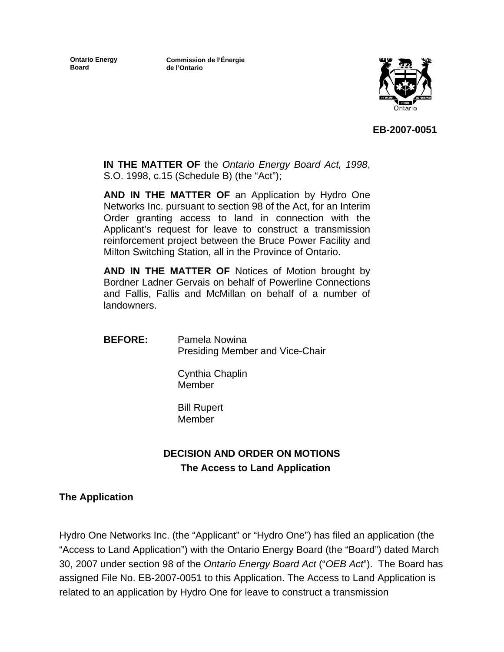**Ontario Energy Board**

**Commission de l'Énergie de l'Ontario**



**EB-2007-0051** 

**IN THE MATTER OF** the *Ontario Energy Board Act, 1998*, S.O. 1998, c.15 (Schedule B) (the "Act");

**AND IN THE MATTER OF** an Application by Hydro One Networks Inc. pursuant to section 98 of the Act, for an Interim Order granting access to land in connection with the Applicant's request for leave to construct a transmission reinforcement project between the Bruce Power Facility and Milton Switching Station, all in the Province of Ontario.

**AND IN THE MATTER OF** Notices of Motion brought by Bordner Ladner Gervais on behalf of Powerline Connections and Fallis, Fallis and McMillan on behalf of a number of landowners.

**BEFORE:** Pamela Nowina Presiding Member and Vice-Chair

> Cynthia Chaplin Member

 Bill Rupert Member

# **DECISION AND ORDER ON MOTIONS The Access to Land Application**

# **The Application**

Hydro One Networks Inc. (the "Applicant" or "Hydro One") has filed an application (the "Access to Land Application") with the Ontario Energy Board (the "Board") dated March 30, 2007 under section 98 of the *Ontario Energy Board Act* ("*OEB Act*"). The Board has assigned File No. EB-2007-0051 to this Application. The Access to Land Application is related to an application by Hydro One for leave to construct a transmission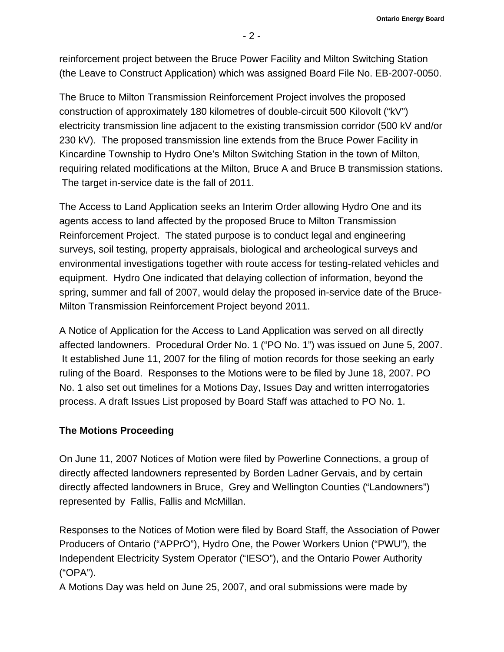**Ontario Energy Board** 

reinforcement project between the Bruce Power Facility and Milton Switching Station (the Leave to Construct Application) which was assigned Board File No. EB-2007-0050.

The Bruce to Milton Transmission Reinforcement Project involves the proposed construction of approximately 180 kilometres of double-circuit 500 Kilovolt ("kV") electricity transmission line adjacent to the existing transmission corridor (500 kV and/or 230 kV). The proposed transmission line extends from the Bruce Power Facility in Kincardine Township to Hydro One's Milton Switching Station in the town of Milton, requiring related modifications at the Milton, Bruce A and Bruce B transmission stations. The target in-service date is the fall of 2011.

The Access to Land Application seeks an Interim Order allowing Hydro One and its agents access to land affected by the proposed Bruce to Milton Transmission Reinforcement Project. The stated purpose is to conduct legal and engineering surveys, soil testing, property appraisals, biological and archeological surveys and environmental investigations together with route access for testing-related vehicles and equipment. Hydro One indicated that delaying collection of information, beyond the spring, summer and fall of 2007, would delay the proposed in-service date of the Bruce-Milton Transmission Reinforcement Project beyond 2011.

A Notice of Application for the Access to Land Application was served on all directly affected landowners. Procedural Order No. 1 ("PO No. 1") was issued on June 5, 2007. It established June 11, 2007 for the filing of motion records for those seeking an early ruling of the Board. Responses to the Motions were to be filed by June 18, 2007. PO No. 1 also set out timelines for a Motions Day, Issues Day and written interrogatories process. A draft Issues List proposed by Board Staff was attached to PO No. 1.

# **The Motions Proceeding**

On June 11, 2007 Notices of Motion were filed by Powerline Connections, a group of directly affected landowners represented by Borden Ladner Gervais, and by certain directly affected landowners in Bruce, Grey and Wellington Counties ("Landowners") represented by Fallis, Fallis and McMillan.

Responses to the Notices of Motion were filed by Board Staff, the Association of Power Producers of Ontario ("APPrO"), Hydro One, the Power Workers Union ("PWU"), the Independent Electricity System Operator ("IESO"), and the Ontario Power Authority ("OPA").

A Motions Day was held on June 25, 2007, and oral submissions were made by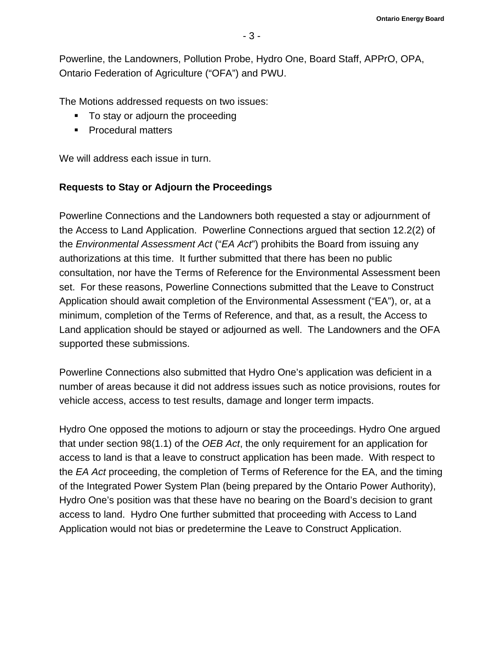Powerline, the Landowners, Pollution Probe, Hydro One, Board Staff, APPrO, OPA, Ontario Federation of Agriculture ("OFA") and PWU.

The Motions addressed requests on two issues:

- To stay or adjourn the proceeding
- **Procedural matters**

We will address each issue in turn.

# **Requests to Stay or Adjourn the Proceedings**

Powerline Connections and the Landowners both requested a stay or adjournment of the Access to Land Application. Powerline Connections argued that section 12.2(2) of the *Environmental Assessment Act* ("*EA Act*") prohibits the Board from issuing any authorizations at this time. It further submitted that there has been no public consultation, nor have the Terms of Reference for the Environmental Assessment been set. For these reasons, Powerline Connections submitted that the Leave to Construct Application should await completion of the Environmental Assessment ("EA"), or, at a minimum, completion of the Terms of Reference, and that, as a result, the Access to Land application should be stayed or adjourned as well. The Landowners and the OFA supported these submissions.

Powerline Connections also submitted that Hydro One's application was deficient in a number of areas because it did not address issues such as notice provisions, routes for vehicle access, access to test results, damage and longer term impacts.

Hydro One opposed the motions to adjourn or stay the proceedings. Hydro One argued that under section 98(1.1) of the *OEB Act*, the only requirement for an application for access to land is that a leave to construct application has been made. With respect to the *EA Act* proceeding, the completion of Terms of Reference for the EA, and the timing of the Integrated Power System Plan (being prepared by the Ontario Power Authority), Hydro One's position was that these have no bearing on the Board's decision to grant access to land. Hydro One further submitted that proceeding with Access to Land Application would not bias or predetermine the Leave to Construct Application.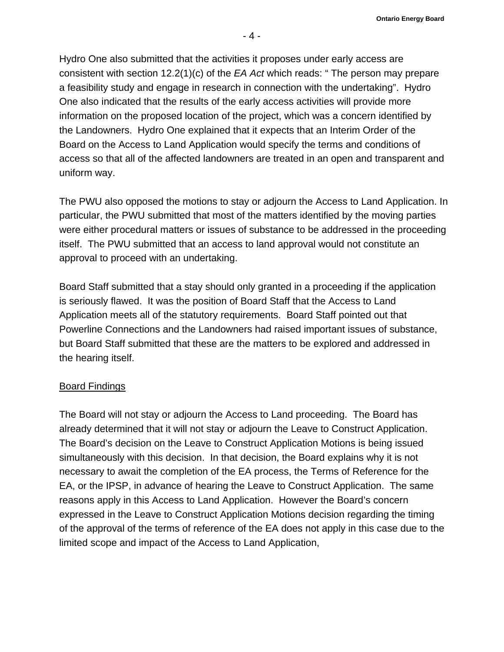**Ontario Energy Board** 

Hydro One also submitted that the activities it proposes under early access are consistent with section 12.2(1)(c) of the *EA Act* which reads: " The person may prepare a feasibility study and engage in research in connection with the undertaking". Hydro One also indicated that the results of the early access activities will provide more information on the proposed location of the project, which was a concern identified by the Landowners. Hydro One explained that it expects that an Interim Order of the Board on the Access to Land Application would specify the terms and conditions of access so that all of the affected landowners are treated in an open and transparent and uniform way.

The PWU also opposed the motions to stay or adjourn the Access to Land Application. In particular, the PWU submitted that most of the matters identified by the moving parties were either procedural matters or issues of substance to be addressed in the proceeding itself. The PWU submitted that an access to land approval would not constitute an approval to proceed with an undertaking.

Board Staff submitted that a stay should only granted in a proceeding if the application is seriously flawed. It was the position of Board Staff that the Access to Land Application meets all of the statutory requirements. Board Staff pointed out that Powerline Connections and the Landowners had raised important issues of substance, but Board Staff submitted that these are the matters to be explored and addressed in the hearing itself.

# Board Findings

The Board will not stay or adjourn the Access to Land proceeding. The Board has already determined that it will not stay or adjourn the Leave to Construct Application. The Board's decision on the Leave to Construct Application Motions is being issued simultaneously with this decision. In that decision, the Board explains why it is not necessary to await the completion of the EA process, the Terms of Reference for the EA, or the IPSP, in advance of hearing the Leave to Construct Application. The same reasons apply in this Access to Land Application. However the Board's concern expressed in the Leave to Construct Application Motions decision regarding the timing of the approval of the terms of reference of the EA does not apply in this case due to the limited scope and impact of the Access to Land Application,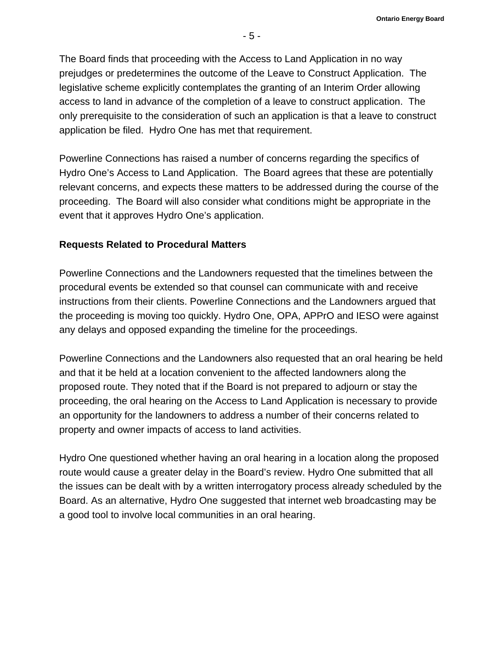The Board finds that proceeding with the Access to Land Application in no way prejudges or predetermines the outcome of the Leave to Construct Application. The legislative scheme explicitly contemplates the granting of an Interim Order allowing access to land in advance of the completion of a leave to construct application. The only prerequisite to the consideration of such an application is that a leave to construct application be filed. Hydro One has met that requirement.

Powerline Connections has raised a number of concerns regarding the specifics of Hydro One's Access to Land Application. The Board agrees that these are potentially relevant concerns, and expects these matters to be addressed during the course of the proceeding. The Board will also consider what conditions might be appropriate in the event that it approves Hydro One's application.

#### **Requests Related to Procedural Matters**

Powerline Connections and the Landowners requested that the timelines between the procedural events be extended so that counsel can communicate with and receive instructions from their clients. Powerline Connections and the Landowners argued that the proceeding is moving too quickly. Hydro One, OPA, APPrO and IESO were against any delays and opposed expanding the timeline for the proceedings.

Powerline Connections and the Landowners also requested that an oral hearing be held and that it be held at a location convenient to the affected landowners along the proposed route. They noted that if the Board is not prepared to adjourn or stay the proceeding, the oral hearing on the Access to Land Application is necessary to provide an opportunity for the landowners to address a number of their concerns related to property and owner impacts of access to land activities.

Hydro One questioned whether having an oral hearing in a location along the proposed route would cause a greater delay in the Board's review. Hydro One submitted that all the issues can be dealt with by a written interrogatory process already scheduled by the Board. As an alternative, Hydro One suggested that internet web broadcasting may be a good tool to involve local communities in an oral hearing.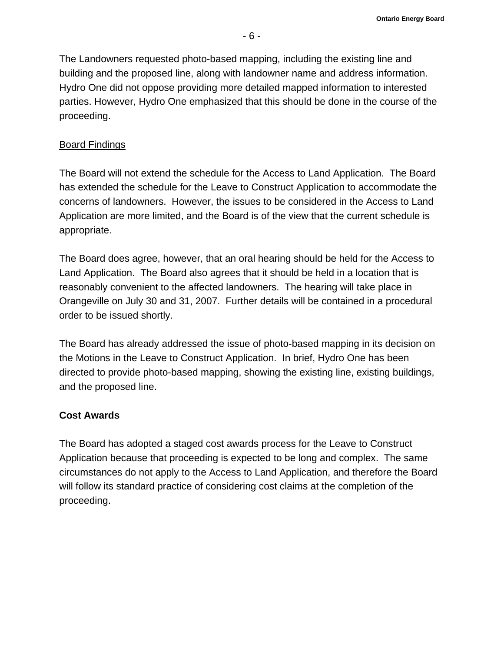The Landowners requested photo-based mapping, including the existing line and building and the proposed line, along with landowner name and address information. Hydro One did not oppose providing more detailed mapped information to interested parties. However, Hydro One emphasized that this should be done in the course of the proceeding.

# Board Findings

The Board will not extend the schedule for the Access to Land Application. The Board has extended the schedule for the Leave to Construct Application to accommodate the concerns of landowners. However, the issues to be considered in the Access to Land Application are more limited, and the Board is of the view that the current schedule is appropriate.

The Board does agree, however, that an oral hearing should be held for the Access to Land Application. The Board also agrees that it should be held in a location that is reasonably convenient to the affected landowners. The hearing will take place in Orangeville on July 30 and 31, 2007. Further details will be contained in a procedural order to be issued shortly.

The Board has already addressed the issue of photo-based mapping in its decision on the Motions in the Leave to Construct Application. In brief, Hydro One has been directed to provide photo-based mapping, showing the existing line, existing buildings, and the proposed line.

# **Cost Awards**

The Board has adopted a staged cost awards process for the Leave to Construct Application because that proceeding is expected to be long and complex. The same circumstances do not apply to the Access to Land Application, and therefore the Board will follow its standard practice of considering cost claims at the completion of the proceeding.